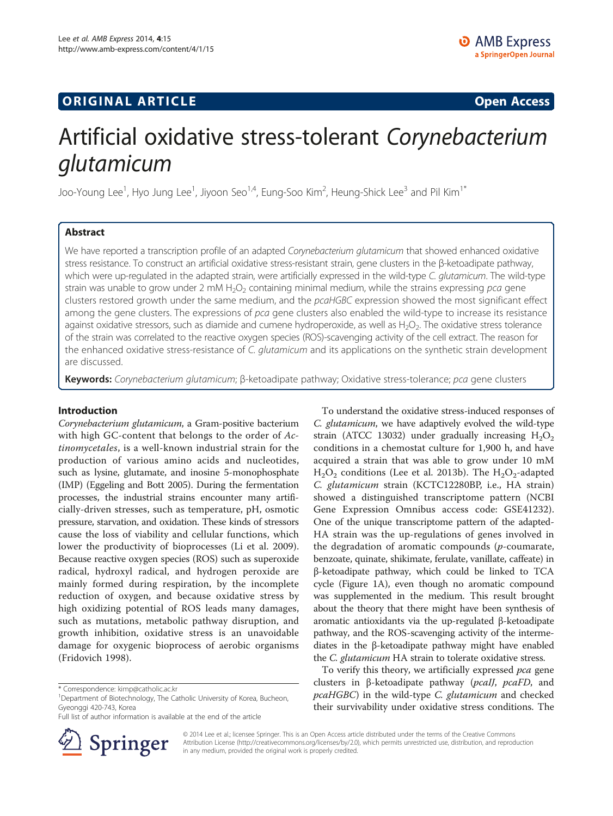# **ORIGINAL ARTICLE CONSUMING A LIGACION** CONSUMING A LIGACION CONSUMING A LIGACION CONSUMING A LIGACION CONSUMING A LIGACION CONSUMING A LIGACION CONSUMING A LIGACION CONSUMING A LIGACION CONSUMING A LIGACION CONSUMING A

# Artificial oxidative stress-tolerant Corynebacterium<br>qlutamicum

**J**<br>Joo-Young Lee<sup>1</sup>, Hyo Jung Lee<sup>1</sup>, Jiyoon Seo<sup>1,4</sup>, Eung-Soo Kim<sup>2</sup>, Heung-Shick Lee<sup>3</sup> and Pil Kim<sup>1\*</sup>

# Abstract

We have reported a transcription profile of an adapted Corynebacterium glutamicum that showed enhanced oxidative stress resistance. To construct an artificial oxidative stress-resistant strain, gene clusters in the β-ketoadipate pathway, which were up-regulated in the adapted strain, were artificially expressed in the wild-type C. glutamicum. The wild-type strain was unable to grow under 2 mM  $H_2O_2$  containing minimal medium, while the strains expressing pca gene clusters restored growth under the same medium, and the pcaHGBC expression showed the most significant effect among the gene clusters. The expressions of pca gene clusters also enabled the wild-type to increase its resistance against oxidative stressors, such as diamide and cumene hydroperoxide, as well as  $H_2O_2$ . The oxidative stress tolerance of the strain was correlated to the reactive oxygen species (ROS)-scavenging activity of the cell extract. The reason for the enhanced oxidative stress-resistance of C. *glutamicum* and its applications on the synthetic strain development are discussed.

Keywords: Corynebacterium glutamicum; β-ketoadipate pathway; Oxidative stress-tolerance; pca gene clusters

## Introduction

Corynebacterium glutamicum, a Gram-positive bacterium with high GC-content that belongs to the order of Actinomycetales, is a well-known industrial strain for the production of various amino acids and nucleotides, such as lysine, glutamate, and inosine 5-monophosphate (IMP) (Eggeling and Bott [2005](#page-6-0)). During the fermentation processes, the industrial strains encounter many artificially-driven stresses, such as temperature, pH, osmotic pressure, starvation, and oxidation. These kinds of stressors cause the loss of viability and cellular functions, which lower the productivity of bioprocesses (Li et al. [2009](#page-6-0)). Because reactive oxygen species (ROS) such as superoxide radical, hydroxyl radical, and hydrogen peroxide are mainly formed during respiration, by the incomplete reduction of oxygen, and because oxidative stress by high oxidizing potential of ROS leads many damages, such as mutations, metabolic pathway disruption, and growth inhibition, oxidative stress is an unavoidable damage for oxygenic bioprocess of aerobic organisms (Fridovich [1998](#page-6-0)).

Full list of author information is available at the end of the article



To understand the oxidative stress-induced responses of C. glutamicum, we have adaptively evolved the wild-type strain (ATCC 13032) under gradually increasing  $H_2O_2$ conditions in a chemostat culture for 1,900 h, and have acquired a strain that was able to grow under 10 mM  $H<sub>2</sub>O<sub>2</sub>$  conditions (Lee et al. [2013b\)](#page-6-0). The  $H<sub>2</sub>O<sub>2</sub>$ -adapted C. glutamicum strain (KCTC12280BP, i.e., HA strain) showed a distinguished transcriptome pattern (NCBI Gene Expression Omnibus access code: GSE41232). One of the unique transcriptome pattern of the adapted-HA strain was the up-regulations of genes involved in the degradation of aromatic compounds  $(p$ -coumarate, benzoate, quinate, shikimate, ferulate, vanillate, caffeate) in β-ketoadipate pathway, which could be linked to TCA cycle (Figure [1](#page-1-0)A), even though no aromatic compound was supplemented in the medium. This result brought about the theory that there might have been synthesis of aromatic antioxidants via the up-regulated β-ketoadipate pathway, and the ROS-scavenging activity of the intermediates in the β-ketoadipate pathway might have enabled the C. glutamicum HA strain to tolerate oxidative stress.

To verify this theory, we artificially expressed pca gene clusters in β-ketoadipate pathway (pcaIJ, pcaFD, and pcaHGBC) in the wild-type C. glutamicum and checked their survivability under oxidative stress conditions. The

© 2014 Lee et al.; licensee Springer. This is an Open Access article distributed under the terms of the Creative Commons Attribution License (http://creativecommons.org/licenses/by/2.0), which permits unrestricted use, distribution, and reproduction in any medium, provided the original work is properly credited.

<sup>\*</sup> Correspondence: [kimp@catholic.ac.kr](mailto:kimp@catholic.ac.kr) <sup>1</sup>

<sup>&</sup>lt;sup>1</sup>Department of Biotechnology, The Catholic University of Korea, Bucheon, Gyeonggi 420-743, Korea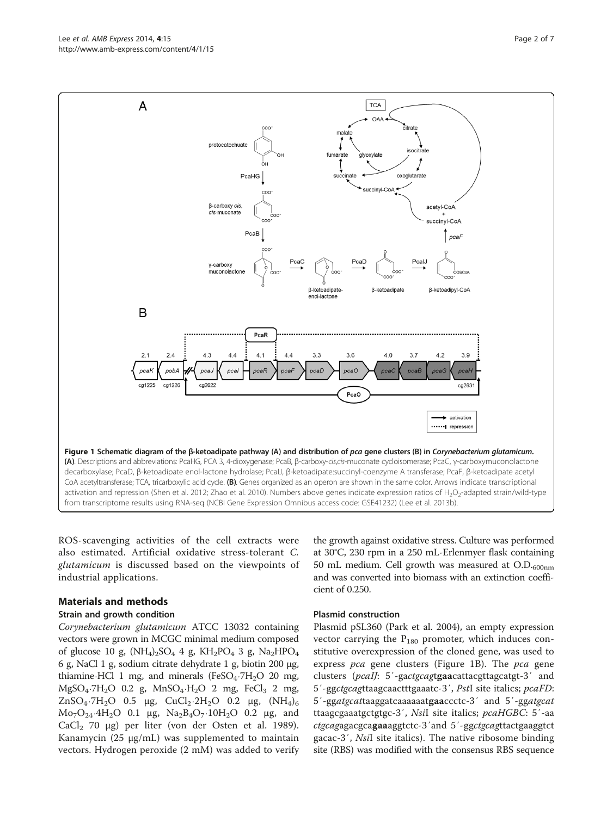ROS-scavenging activities of the cell extracts were also estimated. Artificial oxidative stress-tolerant C. glutamicum is discussed based on the viewpoints of industrial applications.

### Materials and methods

### Strain and growth condition

Corynebacterium glutamicum ATCC 13032 containing vectors were grown in MCGC minimal medium composed of glucose 10 g,  $(NH_4)_2SO_4$  4 g,  $KH_2PO_4$  3 g,  $Na_2HPO_4$ 6 g, NaCl 1 g, sodium citrate dehydrate 1 g, biotin 200 μg, thiamine⋅HCl 1 mg, and minerals (FeSO<sub>4</sub>⋅7H<sub>2</sub>O 20 mg,  $MgSO_4·7H_2O$  0.2 g,  $MnSO_4·H_2O$  2 mg, FeCl<sub>3</sub> 2 mg, ZnSO<sub>4</sub>⋅7H<sub>2</sub>O 0.5 μg, CuCl<sub>2</sub>⋅2H<sub>2</sub>O 0.2 μg, (NH<sub>4</sub>)<sub>6</sub>  $Mo_7O_{24}·4H_2O$  0.1 μg,  $Na_2B_4O_7·10H_2O$  0.2 μg, and CaCl<sub>2</sub> 70 μg) per liter (von der Osten et al. [1989](#page-6-0)). Kanamycin (25 μg/mL) was supplemented to maintain vectors. Hydrogen peroxide (2 mM) was added to verify the growth against oxidative stress. Culture was performed at 30°C, 230 rpm in a 250 mL-Erlenmyer flask containing 50 mL medium. Cell growth was measured at  $O.D._{600nm}$ and was converted into biomass with an extinction coefficient of 0.250.

### Plasmid construction

Plasmid pSL360 (Park et al. [2004\)](#page-6-0), an empty expression vector carrying the  $P_{180}$  promoter, which induces constitutive overexpression of the cloned gene, was used to express pca gene clusters (Figure 1B). The pca gene clusters (*pcaIJ*: 5'-gactgcagtgaacattacgttagcatgt-3' and 5′-ggctgcagttaagcaactttgaaatc-3′, PstI site italics; pcaFD: <sup>5</sup>′-ggatgcattaaggatcaaaaaatgaaccctc-3′ and 5′-ggatgcat ttaagcgaaatgctgtgc-3′, NsiI site italics; pcaHGBC: 5′-aa ctgcagagacgcagaaaggtctc-3′and 5′-ggctgcagttactgaaggtct gacac-3′, NsiI site italics). The native ribosome binding site (RBS) was modified with the consensus RBS sequence

<span id="page-1-0"></span>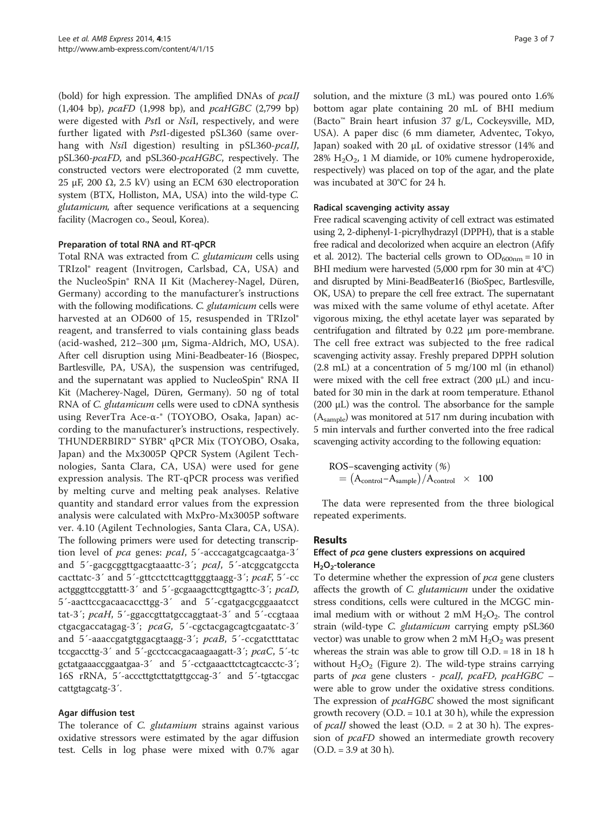(bold) for high expression. The amplified DNAs of *pcalJ* (1,404 bp), pcaFD (1,998 bp), and pcaHGBC (2,799 bp) were digested with PstI or NsiI, respectively, and were further ligated with PstI-digested pSL360 (same overhang with *Nsi*I digestion) resulting in pSL360-*pcaIJ*, pSL360-pcaFD, and pSL360-pcaHGBC, respectively. The constructed vectors were electroporated (2 mm cuvette, 25 μF, 200  $Ω$ , 2.5 kV) using an ECM 630 electroporation system (BTX, Holliston, MA, USA) into the wild-type C. glutamicum, after sequence verifications at a sequencing facility (Macrogen co., Seoul, Korea).

# Preparation of total RNA and RT-qPCR

Total RNA was extracted from C. glutamicum cells using TRIzol® reagent (Invitrogen, Carlsbad, CA, USA) and the NucleoSpin® RNA II Kit (Macherey-Nagel, Düren, Germany) according to the manufacturer's instructions with the following modifications. C. glutamicum cells were harvested at an OD600 of 15, resuspended in TRIzol® reagent, and transferred to vials containing glass beads (acid-washed, 212–300 μm, Sigma-Aldrich, MO, USA). After cell disruption using Mini-Beadbeater-16 (Biospec, Bartlesville, PA, USA), the suspension was centrifuged, and the supernatant was applied to NucleoSpin® RNA II Kit (Macherey-Nagel, Düren, Germany). 50 ng of total RNA of *C. glutamicum* cells were used to cDNA synthesis using ReverTra Ace-α-® (TOYOBO, Osaka, Japan) according to the manufacturer's instructions, respectively. THUNDERBIRD™ SYBR® qPCR Mix (TOYOBO, Osaka, Japan) and the Mx3005P QPCR System (Agilent Technologies, Santa Clara, CA, USA) were used for gene expression analysis. The RT-qPCR process was verified by melting curve and melting peak analyses. Relative quantity and standard error values from the expression analysis were calculated with MxPro-Mx3005P software ver. 4.10 (Agilent Technologies, Santa Clara, CA, USA). The following primers were used for detecting transcription level of pca genes: pcal, 5'-acccagatgcagcaatga-3' and 5´-gacgcggttgacgtaaattc-3´; pcaJ, 5´-atcggcatgccta cacttatc-3´ and 5´-gttcctcttcagttgggtaagg-3´; pcaF, 5´-cc actgggttccggtattt-3´ and 5´-gcgaaagcttcgttgagttc-3´; pcaD, 5´-aacttccgacaacaccttgg-3´ and 5´-cgatgacgcggaaatcct tat-3´; pcaH, 5´-ggaccgttatgccaggtaat-3´ and 5´-ccgtaaa ctgacgaccatagag-3´; pcaG, 5´-cgctacgagcagtcgaatatc-3´ and 5´-aaaccgatgtggacgtaagg-3´; pcaB, 5´-ccgatctttatac tccgaccttg-3´ and 5´-gcctccacgacaagaagatt-3´; pcaC, 5´-tc gctatgaaaccggaatgaa-3<sup>'</sup> and 5<sup>'</sup>-cctgaaacttctcagtcacctc-3<sup>'</sup>; 16S rRNA, 5´-acccttgtcttatgttgccag-3´ and 5´-tgtaccgac cattgtagcatg-3´.

### Agar diffusion test

The tolerance of C. glutamium strains against various oxidative stressors were estimated by the agar diffusion test. Cells in log phase were mixed with 0.7% agar

solution, and the mixture (3 mL) was poured onto 1.6% bottom agar plate containing 20 mL of BHI medium (Bacto™ Brain heart infusion 37 g/L, Cockeysville, MD, USA). A paper disc (6 mm diameter, Adventec, Tokyo, Japan) soaked with 20 μL of oxidative stressor (14% and  $28\%$  H<sub>2</sub>O<sub>2</sub>, 1 M diamide, or 10% cumene hydroperoxide, respectively) was placed on top of the agar, and the plate was incubated at 30°C for 24 h.

# Radical scavenging activity assay

Free radical scavenging activity of cell extract was estimated using 2, 2-diphenyl-1-picrylhydrazyl (DPPH), that is a stable free radical and decolorized when acquire an electron (Afify et al. [2012](#page-6-0)). The bacterial cells grown to  $OD_{600nm} = 10$  in BHI medium were harvested (5,000 rpm for 30 min at 4°C) and disrupted by Mini-BeadBeater16 (BioSpec, Bartlesville, OK, USA) to prepare the cell free extract. The supernatant was mixed with the same volume of ethyl acetate. After vigorous mixing, the ethyl acetate layer was separated by centrifugation and filtrated by 0.22 μm pore-membrane. The cell free extract was subjected to the free radical scavenging activity assay. Freshly prepared DPPH solution (2.8 mL) at a concentration of 5 mg/100 ml (in ethanol) were mixed with the cell free extract (200 μL) and incubated for 30 min in the dark at room temperature. Ethanol (200 μL) was the control. The absorbance for the sample (Asample) was monitored at 517 nm during incubation with 5 min intervals and further converted into the free radical scavenging activity according to the following equation:

$$
\begin{array}{l} \text{ROS–scavenging activity (\%)} \\ = \left(\text{A}_{\text{control}}\text{–A}_{\text{sample}}\right) / \text{A}_{\text{control}} \ \ \, \times \ \ \, 100 \end{array}
$$

The data were represented from the three biological repeated experiments.

### Results

# Effect of pca gene clusters expressions on acquired  $H<sub>2</sub>O<sub>2</sub>$ -tolerance

To determine whether the expression of pca gene clusters affects the growth of *C. glutamicum* under the oxidative stress conditions, cells were cultured in the MCGC minimal medium with or without 2 mM  $H_2O_2$ . The control strain (wild-type C. glutamicum carrying empty pSL360 vector) was unable to grow when 2 mM  $H_2O_2$  was present whereas the strain was able to grow till O.D. = 18 in 18 h without  $H_2O_2$  (Figure [2](#page-3-0)). The wild-type strains carrying parts of pca gene clusters - pcaIJ, pcaFD, pcaHGBC – were able to grow under the oxidative stress conditions. The expression of *pcaHGBC* showed the most significant growth recovery (O.D. = 10.1 at 30 h), while the expression of *pcall* showed the least (O.D.  $= 2$  at 30 h). The expression of *pcaFD* showed an intermediate growth recovery (O.D. = 3.9 at 30 h).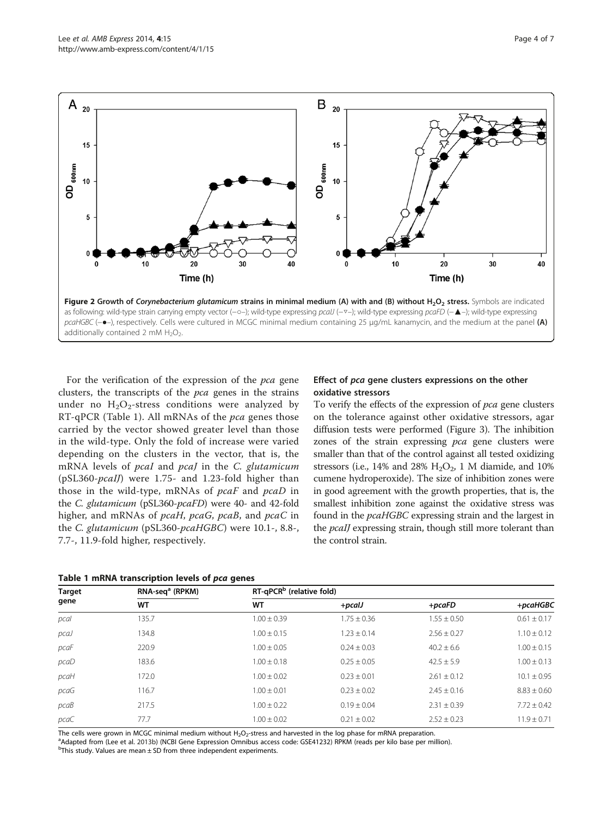<span id="page-3-0"></span>

For the verification of the expression of the pca gene clusters, the transcripts of the pca genes in the strains under no  $H_2O_2$ -stress conditions were analyzed by RT-qPCR (Table 1). All mRNAs of the pca genes those carried by the vector showed greater level than those in the wild-type. Only the fold of increase were varied depending on the clusters in the vector, that is, the mRNA levels of pcaI and pcaJ in the C. glutamicum (pSL360-pcaIJ) were 1.75- and 1.23-fold higher than those in the wild-type, mRNAs of pcaF and pcaD in the C. glutamicum (pSL360-pcaFD) were 40- and 42-fold higher, and mRNAs of *pcaH*, *pcaG*, *pcaB*, and *pcaC* in the C. glutamicum (pSL360-pcaHGBC) were 10.1-, 8.8-, 7.7-, 11.9-fold higher, respectively.

### Table 1 mRNA transcription levels of pca genes

# Effect of pca gene clusters expressions on the other oxidative stressors

To verify the effects of the expression of pca gene clusters on the tolerance against other oxidative stressors, agar diffusion tests were performed (Figure [3\)](#page-4-0). The inhibition zones of the strain expressing pca gene clusters were smaller than that of the control against all tested oxidizing stressors (i.e., 14% and 28%  $H_2O_2$ , 1 M diamide, and 10% cumene hydroperoxide). The size of inhibition zones were in good agreement with the growth properties, that is, the smallest inhibition zone against the oxidative stress was found in the pcaHGBC expressing strain and the largest in the *pcaIJ* expressing strain, though still more tolerant than the control strain.

| <b>Target</b><br>gene | RNA-seq <sup>a</sup> (RPKM)<br>WT | RT-qPCR <sup>b</sup> (relative fold) |                 |                 |                 |
|-----------------------|-----------------------------------|--------------------------------------|-----------------|-----------------|-----------------|
|                       |                                   | <b>WT</b>                            | $+pc$ alJ       | $+pcaFD$        | +pcaHGBC        |
| pcal                  | 135.7                             | $1.00 \pm 0.39$                      | $1.75 \pm 0.36$ | $1.55 \pm 0.50$ | $0.61 \pm 0.17$ |
| pcaJ                  | 134.8                             | $1.00 \pm 0.15$                      | $1.23 \pm 0.14$ | $2.56 \pm 0.27$ | $1.10 \pm 0.12$ |
| pcaF                  | 220.9                             | $1.00 \pm 0.05$                      | $0.24 \pm 0.03$ | $40.2 \pm 6.6$  | $1.00 \pm 0.15$ |
| pcaD                  | 183.6                             | $1.00 \pm 0.18$                      | $0.25 \pm 0.05$ | $42.5 \pm 5.9$  | $1.00 \pm 0.13$ |
| pcaH                  | 172.0                             | $1.00 \pm 0.02$                      | $0.23 \pm 0.01$ | $2.61 \pm 0.12$ | $10.1 \pm 0.95$ |
| pcaG                  | 116.7                             | $1.00 \pm 0.01$                      | $0.23 \pm 0.02$ | $2.45 \pm 0.16$ | $8.83 \pm 0.60$ |
| pcaB                  | 217.5                             | $1.00 \pm 0.22$                      | $0.19 \pm 0.04$ | $2.31 \pm 0.39$ | $7.72 \pm 0.42$ |
| pcaC                  | 77.7                              | $1.00 \pm 0.02$                      | $0.21 \pm 0.02$ | $2.52 \pm 0.23$ | $11.9 \pm 0.71$ |

The cells were grown in MCGC minimal medium without H<sub>2</sub>O<sub>2</sub>-stress and harvested in the log phase for mRNA preparation.<br><sup>a</sup>ndanted from (Log at al. 2012b) (NCPLGone Expression Omnibus access code: GSE41222) PPKM (reads ne <sup>a</sup>Adapted from (Lee et al. [2013b](#page-6-0)) (NCBI Gene Expression Omnibus access code: GSE41232) RPKM (reads per kilo base per million).

 $b$ This study. Values are mean  $\pm$  SD from three independent experiments.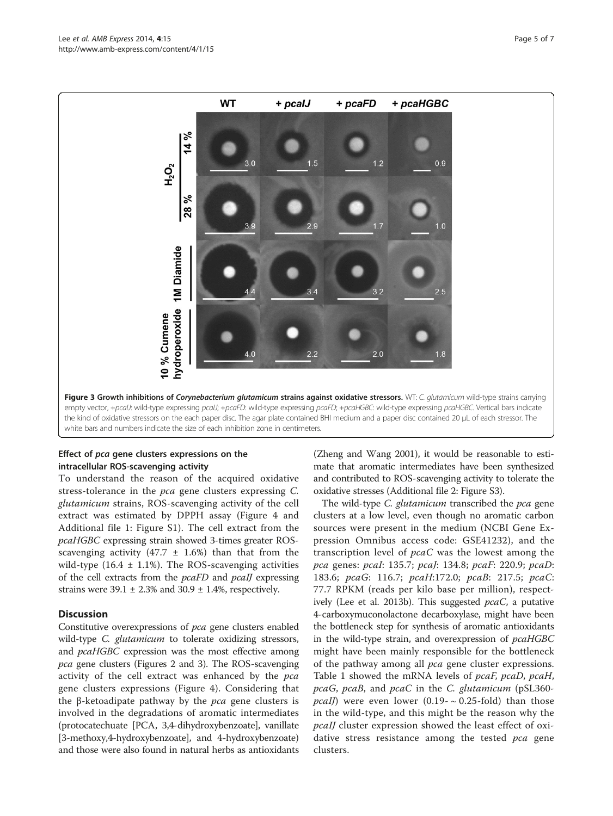<span id="page-4-0"></span>

# Effect of pca gene clusters expressions on the intracellular ROS-scavenging activity

To understand the reason of the acquired oxidative stress-tolerance in the pca gene clusters expressing C. glutamicum strains, ROS-scavenging activity of the cell extract was estimated by DPPH assay (Figure [4](#page-5-0) and Additional file [1](#page-6-0): Figure S1). The cell extract from the pcaHGBC expressing strain showed 3-times greater ROSscavenging activity (47.7  $\pm$  1.6%) than that from the wild-type  $(16.4 \pm 1.1\%)$ . The ROS-scavenging activities of the cell extracts from the pcaFD and pcaIJ expressing strains were  $39.1 \pm 2.3\%$  and  $30.9 \pm 1.4\%$ , respectively.

# **Discussion**

Constitutive overexpressions of pca gene clusters enabled wild-type *C. glutamicum* to tolerate oxidizing stressors, and *pcaHGBC* expression was the most effective among pca gene clusters (Figures [2](#page-3-0) and 3). The ROS-scavenging activity of the cell extract was enhanced by the pca gene clusters expressions (Figure [4\)](#page-5-0). Considering that the β-ketoadipate pathway by the *pca* gene clusters is involved in the degradations of aromatic intermediates (protocatechuate [PCA, 3,4-dihydroxybenzoate], vanillate [3-methoxy,4-hydroxybenzoate], and 4-hydroxybenzoate) and those were also found in natural herbs as antioxidants

(Zheng and Wang [2001](#page-6-0)), it would be reasonable to estimate that aromatic intermediates have been synthesized and contributed to ROS-scavenging activity to tolerate the oxidative stresses (Additional file [2](#page-6-0): Figure S3).

The wild-type C. glutamicum transcribed the pca gene clusters at a low level, even though no aromatic carbon sources were present in the medium (NCBI Gene Expression Omnibus access code: GSE41232), and the transcription level of pcaC was the lowest among the pca genes: pcaI: 135.7; pcaJ: 134.8; pcaF: 220.9; pcaD: 183.6; pcaG: 116.7; pcaH:172.0; pcaB: 217.5; pcaC: 77.7 RPKM (reads per kilo base per million), respect-ively (Lee et al. [2013b](#page-6-0)). This suggested  $pcaC$ , a putative 4-carboxymuconolactone decarboxylase, might have been the bottleneck step for synthesis of aromatic antioxidants in the wild-type strain, and overexpression of pcaHGBC might have been mainly responsible for the bottleneck of the pathway among all pca gene cluster expressions. Table [1](#page-3-0) showed the mRNA levels of pcaF, pcaD, pcaH, pcaG, pcaB, and pcaC in the C. glutamicum (pSL360 *pcaIJ*) were even lower (0.19-  $\sim$  0.25-fold) than those in the wild-type, and this might be the reason why the pcaIJ cluster expression showed the least effect of oxidative stress resistance among the tested pca gene clusters.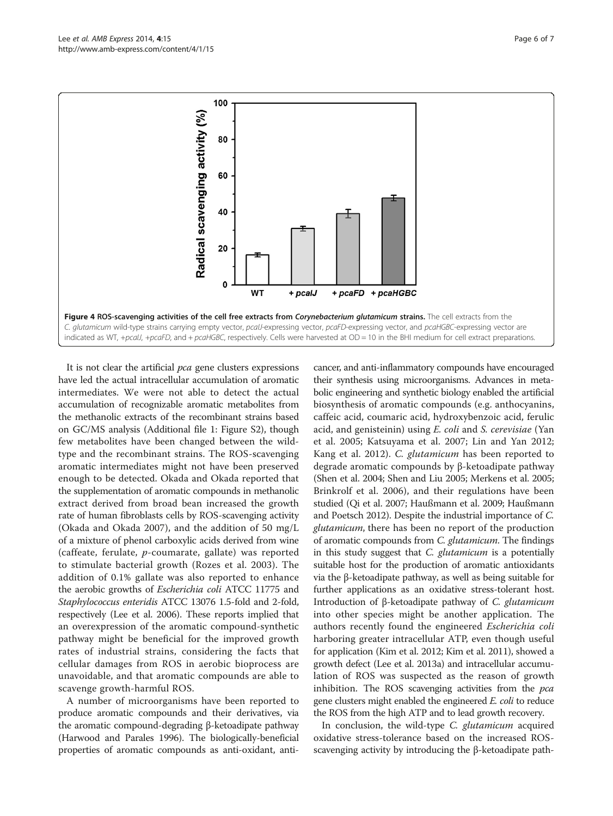<span id="page-5-0"></span>

It is not clear the artificial *pca* gene clusters expressions have led the actual intracellular accumulation of aromatic intermediates. We were not able to detect the actual accumulation of recognizable aromatic metabolites from the methanolic extracts of the recombinant strains based on GC/MS analysis (Additional file [1](#page-6-0): Figure S2), though few metabolites have been changed between the wildtype and the recombinant strains. The ROS-scavenging aromatic intermediates might not have been preserved enough to be detected. Okada and Okada reported that the supplementation of aromatic compounds in methanolic extract derived from broad bean increased the growth rate of human fibroblasts cells by ROS-scavenging activity (Okada and Okada [2007](#page-6-0)), and the addition of 50 mg/L of a mixture of phenol carboxylic acids derived from wine (caffeate, ferulate, p-coumarate, gallate) was reported to stimulate bacterial growth (Rozes et al. [2003](#page-6-0)). The addition of 0.1% gallate was also reported to enhance the aerobic growths of Escherichia coli ATCC 11775 and Staphylococcus enteridis ATCC 13076 1.5-fold and 2-fold, respectively (Lee et al. [2006](#page-6-0)). These reports implied that an overexpression of the aromatic compound-synthetic pathway might be beneficial for the improved growth rates of industrial strains, considering the facts that cellular damages from ROS in aerobic bioprocess are unavoidable, and that aromatic compounds are able to scavenge growth-harmful ROS.

A number of microorganisms have been reported to produce aromatic compounds and their derivatives, via the aromatic compound-degrading β-ketoadipate pathway (Harwood and Parales [1996\)](#page-6-0). The biologically-beneficial properties of aromatic compounds as anti-oxidant, anti-

cancer, and anti-inflammatory compounds have encouraged their synthesis using microorganisms. Advances in metabolic engineering and synthetic biology enabled the artificial biosynthesis of aromatic compounds (e.g. anthocyanins, caffeic acid, coumaric acid, hydroxybenzoic acid, ferulic acid, and genisteinin) using E. coli and S. cerevisiae (Yan et al. [2005](#page-6-0); Katsuyama et al. [2007](#page-6-0); Lin and Yan [2012](#page-6-0); Kang et al. [2012](#page-6-0)). C. glutamicum has been reported to degrade aromatic compounds by β-ketoadipate pathway (Shen et al. [2004;](#page-6-0) Shen and Liu [2005](#page-6-0); Merkens et al. [2005](#page-6-0); Brinkrolf et al. [2006](#page-6-0)), and their regulations have been studied (Qi et al. [2007;](#page-6-0) Haußmann et al. [2009](#page-6-0); Haußmann and Poetsch [2012](#page-6-0)). Despite the industrial importance of C. glutamicum, there has been no report of the production of aromatic compounds from C. glutamicum. The findings in this study suggest that *C. glutamicum* is a potentially suitable host for the production of aromatic antioxidants via the β-ketoadipate pathway, as well as being suitable for further applications as an oxidative stress-tolerant host. Introduction of β-ketoadipate pathway of *C. glutamicum* into other species might be another application. The authors recently found the engineered Escherichia coli harboring greater intracellular ATP, even though useful for application (Kim et al. [2012;](#page-6-0) Kim et al. [2011\)](#page-6-0), showed a growth defect (Lee et al. [2013a\)](#page-6-0) and intracellular accumulation of ROS was suspected as the reason of growth inhibition. The ROS scavenging activities from the pca gene clusters might enabled the engineered *E. coli* to reduce the ROS from the high ATP and to lead growth recovery.

In conclusion, the wild-type *C. glutamicum* acquired oxidative stress-tolerance based on the increased ROSscavenging activity by introducing the β-ketoadipate path